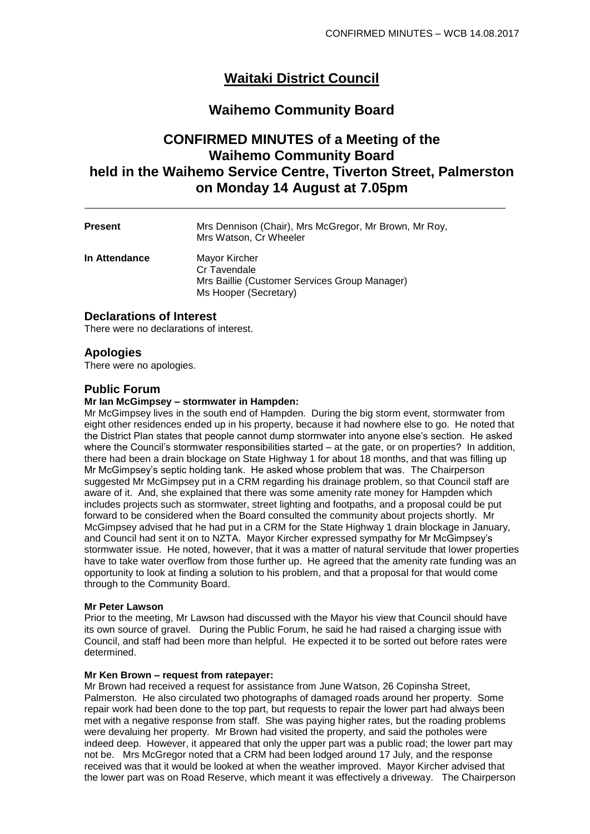# **Waitaki District Council**

# **Waihemo Community Board**

# **CONFIRMED MINUTES of a Meeting of the Waihemo Community Board held in the Waihemo Service Centre, Tiverton Street, Palmerston on Monday 14 August at 7.05pm**

| <b>Present</b> | Mrs Dennison (Chair), Mrs McGregor, Mr Brown, Mr Roy,<br>Mrs Watson, Cr Wheeler                         |
|----------------|---------------------------------------------------------------------------------------------------------|
| In Attendance  | Mayor Kircher<br>Cr Tavendale<br>Mrs Baillie (Customer Services Group Manager)<br>Ms Hooper (Secretary) |

# **Declarations of Interest**

There were no declarations of interest.

# **Apologies**

There were no apologies.

# **Public Forum**

#### **Mr Ian McGimpsey – stormwater in Hampden:**

Mr McGimpsey lives in the south end of Hampden. During the big storm event, stormwater from eight other residences ended up in his property, because it had nowhere else to go. He noted that the District Plan states that people cannot dump stormwater into anyone else's section. He asked where the Council's stormwater responsibilities started – at the gate, or on properties? In addition, there had been a drain blockage on State Highway 1 for about 18 months, and that was filling up Mr McGimpsey's septic holding tank. He asked whose problem that was. The Chairperson suggested Mr McGimpsey put in a CRM regarding his drainage problem, so that Council staff are aware of it. And, she explained that there was some amenity rate money for Hampden which includes projects such as stormwater, street lighting and footpaths, and a proposal could be put forward to be considered when the Board consulted the community about projects shortly. Mr McGimpsey advised that he had put in a CRM for the State Highway 1 drain blockage in January, and Council had sent it on to NZTA. Mayor Kircher expressed sympathy for Mr McGimpsey's stormwater issue. He noted, however, that it was a matter of natural servitude that lower properties have to take water overflow from those further up. He agreed that the amenity rate funding was an opportunity to look at finding a solution to his problem, and that a proposal for that would come through to the Community Board.

#### **Mr Peter Lawson**

Prior to the meeting, Mr Lawson had discussed with the Mayor his view that Council should have its own source of gravel. During the Public Forum, he said he had raised a charging issue with Council, and staff had been more than helpful. He expected it to be sorted out before rates were determined.

#### **Mr Ken Brown – request from ratepayer:**

Mr Brown had received a request for assistance from June Watson, 26 Copinsha Street, Palmerston. He also circulated two photographs of damaged roads around her property. Some repair work had been done to the top part, but requests to repair the lower part had always been met with a negative response from staff. She was paying higher rates, but the roading problems were devaluing her property. Mr Brown had visited the property, and said the potholes were indeed deep. However, it appeared that only the upper part was a public road; the lower part may not be. Mrs McGregor noted that a CRM had been lodged around 17 July, and the response received was that it would be looked at when the weather improved. Mayor Kircher advised that the lower part was on Road Reserve, which meant it was effectively a driveway. The Chairperson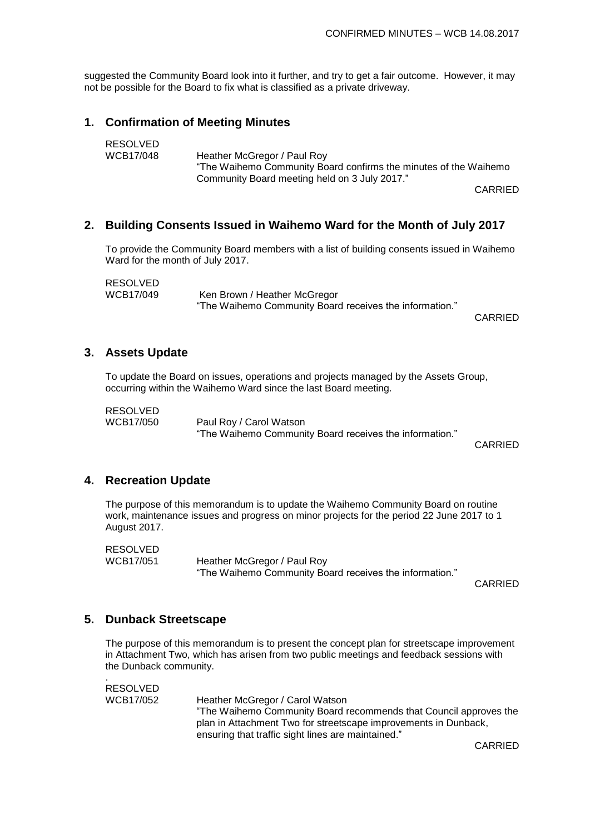suggested the Community Board look into it further, and try to get a fair outcome. However, it may not be possible for the Board to fix what is classified as a private driveway.

# **1. Confirmation of Meeting Minutes**

| RESOLVED  |                                                                  |
|-----------|------------------------------------------------------------------|
| WCB17/048 | Heather McGregor / Paul Roy                                      |
|           | "The Waihemo Community Board confirms the minutes of the Waihemo |
|           | Community Board meeting held on 3 July 2017."                    |

CARRIED

# **2. Building Consents Issued in Waihemo Ward for the Month of July 2017**

To provide the Community Board members with a list of building consents issued in Waihemo Ward for the month of July 2017.

RESOLVED WCB17/049 Ken Brown / Heather McGregor "The Waihemo Community Board receives the information."

CARRIED

# **3. Assets Update**

To update the Board on issues, operations and projects managed by the Assets Group, occurring within the Waihemo Ward since the last Board meeting.

RESOLVED

WCB17/050 Paul Roy / Carol Watson "The Waihemo Community Board receives the information."

CARRIED

## **4. Recreation Update**

The purpose of this memorandum is to update the Waihemo Community Board on routine work, maintenance issues and progress on minor projects for the period 22 June 2017 to 1 August 2017.

RESOLVED

.

WCB17/051 Heather McGregor / Paul Roy "The Waihemo Community Board receives the information."

CARRIED

## **5. Dunback Streetscape**

The purpose of this memorandum is to present the concept plan for streetscape improvement in Attachment Two, which has arisen from two public meetings and feedback sessions with the Dunback community.

RESOLVED<br>WCB17/052 Heather McGregor / Carol Watson "The Waihemo Community Board recommends that Council approves the plan in Attachment Two for streetscape improvements in Dunback, ensuring that traffic sight lines are maintained."

CARRIED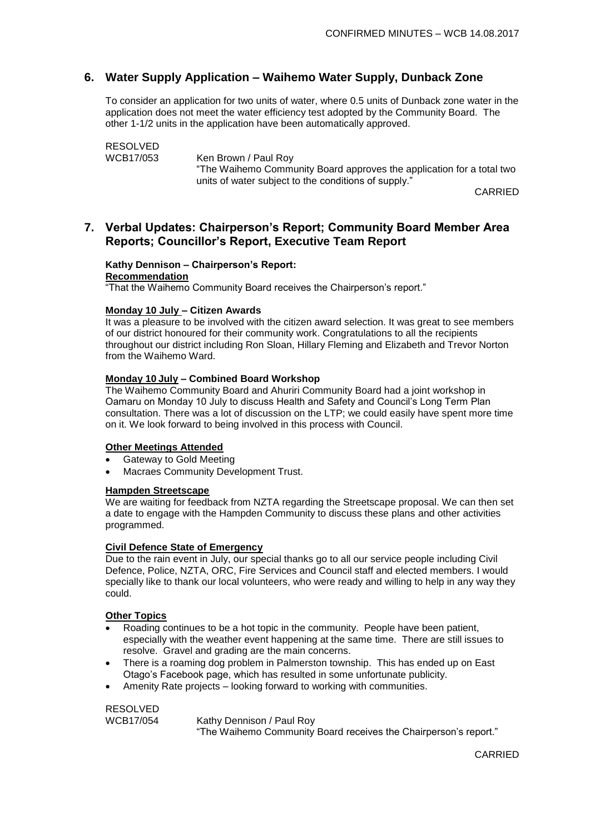# **6. Water Supply Application – Waihemo Water Supply, Dunback Zone**

To consider an application for two units of water, where 0.5 units of Dunback zone water in the application does not meet the water efficiency test adopted by the Community Board. The other 1-1/2 units in the application have been automatically approved.

RESOLVED<br>WCB17/053 Ken Brown / Paul Roy

"The Waihemo Community Board approves the application for a total two units of water subject to the conditions of supply."

CARRIED

# **7. Verbal Updates: Chairperson's Report; Community Board Member Area Reports; Councillor's Report, Executive Team Report**

#### **Kathy Dennison – Chairperson's Report:**

**Recommendation**

"That the Waihemo Community Board receives the Chairperson's report."

#### **Monday 10 July – Citizen Awards**

It was a pleasure to be involved with the citizen award selection. It was great to see members of our district honoured for their community work. Congratulations to all the recipients throughout our district including Ron Sloan, Hillary Fleming and Elizabeth and Trevor Norton from the Waihemo Ward.

#### **Monday 10 July – Combined Board Workshop**

The Waihemo Community Board and Ahuriri Community Board had a joint workshop in Oamaru on Monday 10 July to discuss Health and Safety and Council's Long Term Plan consultation. There was a lot of discussion on the LTP; we could easily have spent more time on it. We look forward to being involved in this process with Council.

#### **Other Meetings Attended**

- Gateway to Gold Meeting
- Macraes Community Development Trust.

#### **Hampden Streetscape**

We are waiting for feedback from NZTA regarding the Streetscape proposal. We can then set a date to engage with the Hampden Community to discuss these plans and other activities programmed.

#### **Civil Defence State of Emergency**

Due to the rain event in July, our special thanks go to all our service people including Civil Defence, Police, NZTA, ORC, Fire Services and Council staff and elected members. I would specially like to thank our local volunteers, who were ready and willing to help in any way they could.

#### **Other Topics**

- Roading continues to be a hot topic in the community. People have been patient, especially with the weather event happening at the same time. There are still issues to resolve. Gravel and grading are the main concerns.
- There is a roaming dog problem in Palmerston township. This has ended up on East Otago's Facebook page, which has resulted in some unfortunate publicity.
- Amenity Rate projects looking forward to working with communities.

RESOLVED<br>WCB17/054 Kathy Dennison / Paul Roy "The Waihemo Community Board receives the Chairperson's report."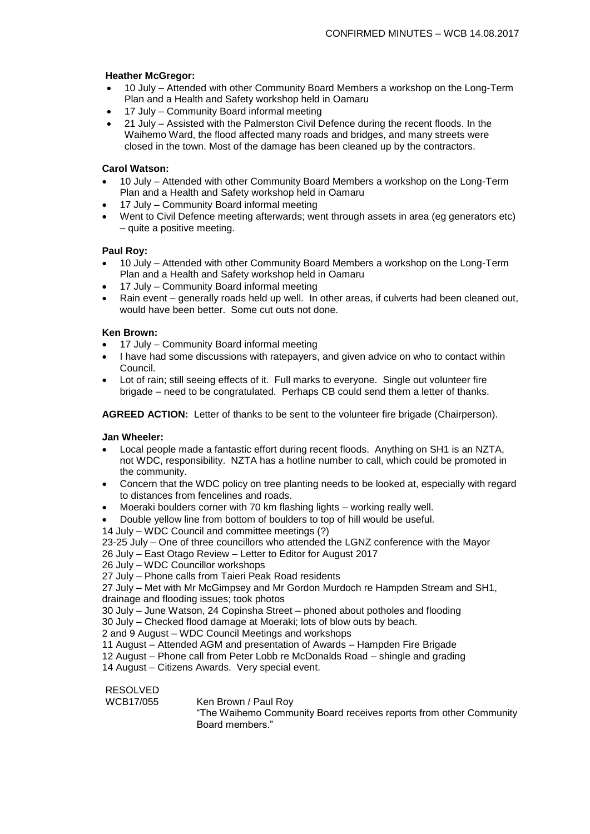#### **Heather McGregor:**

- 10 July Attended with other Community Board Members a workshop on the Long-Term Plan and a Health and Safety workshop held in Oamaru
- 17 July Community Board informal meeting
- 21 July Assisted with the Palmerston Civil Defence during the recent floods. In the Waihemo Ward, the flood affected many roads and bridges, and many streets were closed in the town. Most of the damage has been cleaned up by the contractors.

## **Carol Watson:**

- 10 July Attended with other Community Board Members a workshop on the Long-Term Plan and a Health and Safety workshop held in Oamaru
- 17 July Community Board informal meeting
- Went to Civil Defence meeting afterwards; went through assets in area (eg generators etc) – quite a positive meeting.

#### **Paul Roy:**

- 10 July Attended with other Community Board Members a workshop on the Long-Term Plan and a Health and Safety workshop held in Oamaru
- 17 July Community Board informal meeting
- Rain event generally roads held up well. In other areas, if culverts had been cleaned out, would have been better. Some cut outs not done.

#### **Ken Brown:**

- 17 July Community Board informal meeting
- I have had some discussions with ratepayers, and given advice on who to contact within Council.
- Lot of rain; still seeing effects of it. Full marks to everyone. Single out volunteer fire brigade – need to be congratulated. Perhaps CB could send them a letter of thanks.

**AGREED ACTION:** Letter of thanks to be sent to the volunteer fire brigade (Chairperson).

#### **Jan Wheeler:**

- Local people made a fantastic effort during recent floods. Anything on SH1 is an NZTA, not WDC, responsibility. NZTA has a hotline number to call, which could be promoted in the community.
- Concern that the WDC policy on tree planting needs to be looked at, especially with regard to distances from fencelines and roads.
- Moeraki boulders corner with 70 km flashing lights working really well.
- Double yellow line from bottom of boulders to top of hill would be useful.
- 14 July WDC Council and committee meetings (?)

23-25 July – One of three councillors who attended the LGNZ conference with the Mayor 26 July – East Otago Review – Letter to Editor for August 2017

26 July – WDC Councillor workshops

27 July – Phone calls from Taieri Peak Road residents

27 July – Met with Mr McGimpsey and Mr Gordon Murdoch re Hampden Stream and SH1, drainage and flooding issues; took photos

30 July – June Watson, 24 Copinsha Street – phoned about potholes and flooding

30 July – Checked flood damage at Moeraki; lots of blow outs by beach.

2 and 9 August – WDC Council Meetings and workshops

11 August – Attended AGM and presentation of Awards – Hampden Fire Brigade

12 August – Phone call from Peter Lobb re McDonalds Road – shingle and grading

14 August – Citizens Awards. Very special event.

# RESOLVED<br>WCB17/055

Ken Brown / Paul Roy

"The Waihemo Community Board receives reports from other Community Board members."